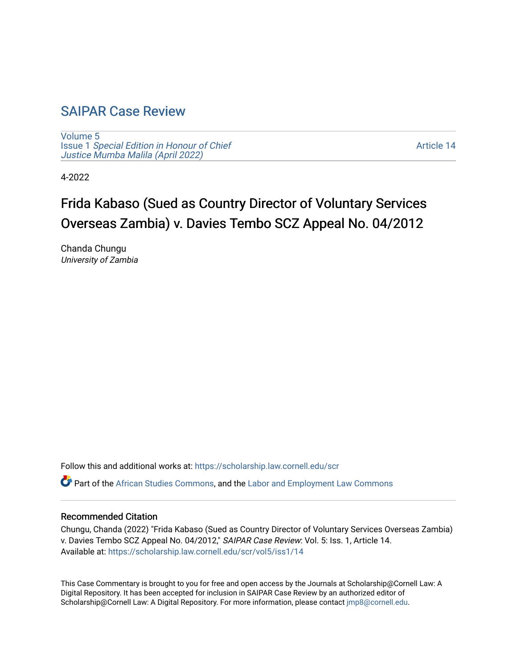## [SAIPAR Case Review](https://scholarship.law.cornell.edu/scr)

[Volume 5](https://scholarship.law.cornell.edu/scr/vol5) Issue 1 [Special Edition in Honour of Chief](https://scholarship.law.cornell.edu/scr/vol5/iss1) [Justice Mumba Malila \(April 2022\)](https://scholarship.law.cornell.edu/scr/vol5/iss1)

[Article 14](https://scholarship.law.cornell.edu/scr/vol5/iss1/14) 

4-2022

# Frida Kabaso (Sued as Country Director of Voluntary Services Overseas Zambia) v. Davies Tembo SCZ Appeal No. 04/2012

Chanda Chungu University of Zambia

Follow this and additional works at: [https://scholarship.law.cornell.edu/scr](https://scholarship.law.cornell.edu/scr?utm_source=scholarship.law.cornell.edu%2Fscr%2Fvol5%2Fiss1%2F14&utm_medium=PDF&utm_campaign=PDFCoverPages) 

Part of the [African Studies Commons,](https://network.bepress.com/hgg/discipline/1043?utm_source=scholarship.law.cornell.edu%2Fscr%2Fvol5%2Fiss1%2F14&utm_medium=PDF&utm_campaign=PDFCoverPages) and the [Labor and Employment Law Commons](https://network.bepress.com/hgg/discipline/909?utm_source=scholarship.law.cornell.edu%2Fscr%2Fvol5%2Fiss1%2F14&utm_medium=PDF&utm_campaign=PDFCoverPages) 

#### Recommended Citation

Chungu, Chanda (2022) "Frida Kabaso (Sued as Country Director of Voluntary Services Overseas Zambia) v. Davies Tembo SCZ Appeal No. 04/2012," SAIPAR Case Review: Vol. 5: Iss. 1, Article 14. Available at: [https://scholarship.law.cornell.edu/scr/vol5/iss1/14](https://scholarship.law.cornell.edu/scr/vol5/iss1/14?utm_source=scholarship.law.cornell.edu%2Fscr%2Fvol5%2Fiss1%2F14&utm_medium=PDF&utm_campaign=PDFCoverPages) 

This Case Commentary is brought to you for free and open access by the Journals at Scholarship@Cornell Law: A Digital Repository. It has been accepted for inclusion in SAIPAR Case Review by an authorized editor of Scholarship@Cornell Law: A Digital Repository. For more information, please contact [jmp8@cornell.edu](mailto:jmp8@cornell.edu).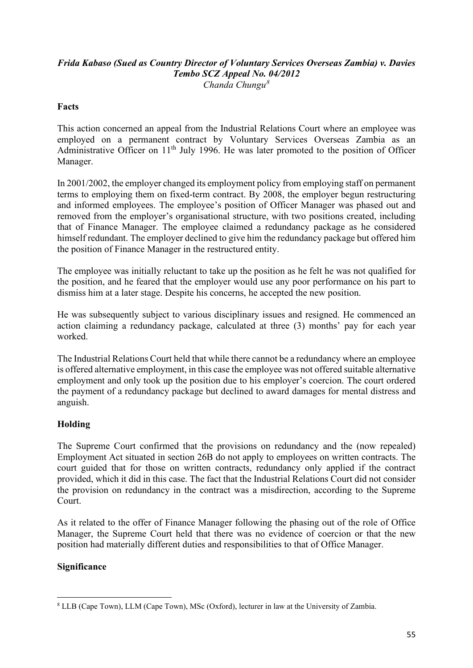#### *Frida Kabaso (Sued as Country Director of Voluntary Services Overseas Zambia) v. Davies Tembo SCZ Appeal No. 04/2012 Chanda Chungu[8](#page-1-0)*

#### **Facts**

This action concerned an appeal from the Industrial Relations Court where an employee was employed on a permanent contract by Voluntary Services Overseas Zambia as an Administrative Officer on 11<sup>th</sup> July 1996. He was later promoted to the position of Officer Manager.

In 2001/2002, the employer changed its employment policy from employing staff on permanent terms to employing them on fixed-term contract. By 2008, the employer begun restructuring and informed employees. The employee's position of Officer Manager was phased out and removed from the employer's organisational structure, with two positions created, including that of Finance Manager. The employee claimed a redundancy package as he considered himself redundant. The employer declined to give him the redundancy package but offered him the position of Finance Manager in the restructured entity.

The employee was initially reluctant to take up the position as he felt he was not qualified for the position, and he feared that the employer would use any poor performance on his part to dismiss him at a later stage. Despite his concerns, he accepted the new position.

He was subsequently subject to various disciplinary issues and resigned. He commenced an action claiming a redundancy package, calculated at three (3) months' pay for each year worked.

The Industrial Relations Court held that while there cannot be a redundancy where an employee is offered alternative employment, in this case the employee was not offered suitable alternative employment and only took up the position due to his employer's coercion. The court ordered the payment of a redundancy package but declined to award damages for mental distress and anguish.

### **Holding**

The Supreme Court confirmed that the provisions on redundancy and the (now repealed) Employment Act situated in section 26B do not apply to employees on written contracts. The court guided that for those on written contracts, redundancy only applied if the contract provided, which it did in this case. The fact that the Industrial Relations Court did not consider the provision on redundancy in the contract was a misdirection, according to the Supreme Court.

As it related to the offer of Finance Manager following the phasing out of the role of Office Manager, the Supreme Court held that there was no evidence of coercion or that the new position had materially different duties and responsibilities to that of Office Manager.

#### **Significance**

<span id="page-1-0"></span><sup>8</sup> LLB (Cape Town), LLM (Cape Town), MSc (Oxford), lecturer in law at the University of Zambia.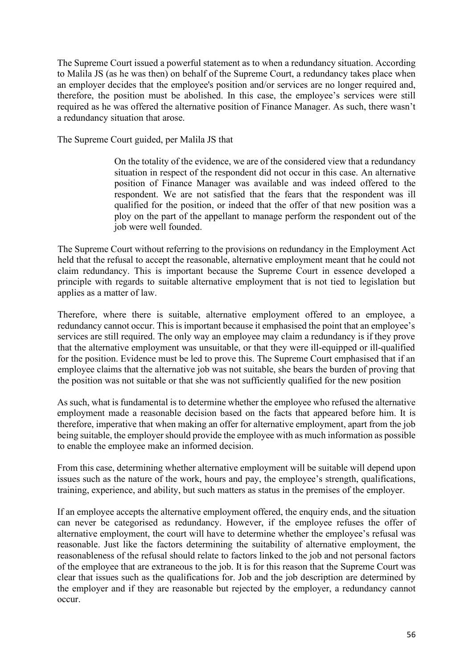The Supreme Court issued a powerful statement as to when a redundancy situation. According to Malila JS (as he was then) on behalf of the Supreme Court, a redundancy takes place when an employer decides that the employee's position and/or services are no longer required and, therefore, the position must be abolished. In this case, the employee's services were still required as he was offered the alternative position of Finance Manager. As such, there wasn't a redundancy situation that arose.

The Supreme Court guided, per Malila JS that

On the totality of the evidence, we are of the considered view that a redundancy situation in respect of the respondent did not occur in this case. An alternative position of Finance Manager was available and was indeed offered to the respondent. We are not satisfied that the fears that the respondent was ill qualified for the position, or indeed that the offer of that new position was a ploy on the part of the appellant to manage perform the respondent out of the job were well founded.

The Supreme Court without referring to the provisions on redundancy in the Employment Act held that the refusal to accept the reasonable, alternative employment meant that he could not claim redundancy. This is important because the Supreme Court in essence developed a principle with regards to suitable alternative employment that is not tied to legislation but applies as a matter of law.

Therefore, where there is suitable, alternative employment offered to an employee, a redundancy cannot occur. This is important because it emphasised the point that an employee's services are still required. The only way an employee may claim a redundancy is if they prove that the alternative employment was unsuitable, or that they were ill-equipped or ill-qualified for the position. Evidence must be led to prove this. The Supreme Court emphasised that if an employee claims that the alternative job was not suitable, she bears the burden of proving that the position was not suitable or that she was not sufficiently qualified for the new position

As such, what is fundamental is to determine whether the employee who refused the alternative employment made a reasonable decision based on the facts that appeared before him. It is therefore, imperative that when making an offer for alternative employment, apart from the job being suitable, the employer should provide the employee with as much information as possible to enable the employee make an informed decision.

From this case, determining whether alternative employment will be suitable will depend upon issues such as the nature of the work, hours and pay, the employee's strength, qualifications, training, experience, and ability, but such matters as status in the premises of the employer.

If an employee accepts the alternative employment offered, the enquiry ends, and the situation can never be categorised as redundancy. However, if the employee refuses the offer of alternative employment, the court will have to determine whether the employee's refusal was reasonable. Just like the factors determining the suitability of alternative employment, the reasonableness of the refusal should relate to factors linked to the job and not personal factors of the employee that are extraneous to the job. It is for this reason that the Supreme Court was clear that issues such as the qualifications for. Job and the job description are determined by the employer and if they are reasonable but rejected by the employer, a redundancy cannot occur.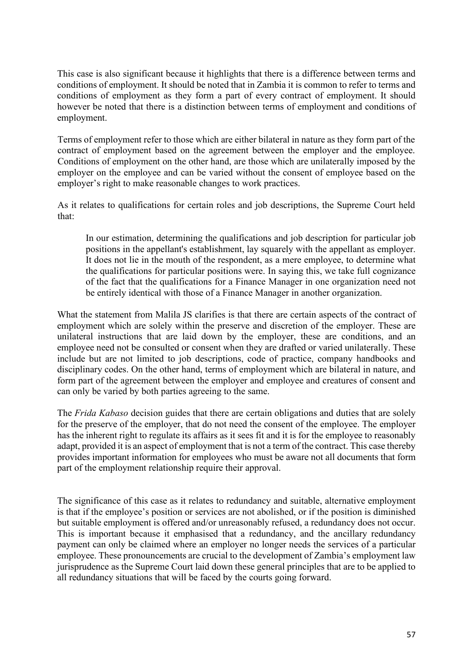This case is also significant because it highlights that there is a difference between terms and conditions of employment. It should be noted that in Zambia it is common to refer to terms and conditions of employment as they form a part of every contract of employment. It should however be noted that there is a distinction between terms of employment and conditions of employment.

Terms of employment refer to those which are either bilateral in nature as they form part of the contract of employment based on the agreement between the employer and the employee. Conditions of employment on the other hand, are those which are unilaterally imposed by the employer on the employee and can be varied without the consent of employee based on the employer's right to make reasonable changes to work practices.

As it relates to qualifications for certain roles and job descriptions, the Supreme Court held that:

In our estimation, determining the qualifications and job description for particular job positions in the appellant's establishment, lay squarely with the appellant as employer. It does not lie in the mouth of the respondent, as a mere employee, to determine what the qualifications for particular positions were. In saying this, we take full cognizance of the fact that the qualifications for a Finance Manager in one organization need not be entirely identical with those of a Finance Manager in another organization.

What the statement from Malila JS clarifies is that there are certain aspects of the contract of employment which are solely within the preserve and discretion of the employer. These are unilateral instructions that are laid down by the employer, these are conditions, and an employee need not be consulted or consent when they are drafted or varied unilaterally. These include but are not limited to job descriptions, code of practice, company handbooks and disciplinary codes. On the other hand, terms of employment which are bilateral in nature, and form part of the agreement between the employer and employee and creatures of consent and can only be varied by both parties agreeing to the same.

The *Frida Kabaso* decision guides that there are certain obligations and duties that are solely for the preserve of the employer, that do not need the consent of the employee. The employer has the inherent right to regulate its affairs as it sees fit and it is for the employee to reasonably adapt, provided it is an aspect of employment that is not a term of the contract. This case thereby provides important information for employees who must be aware not all documents that form part of the employment relationship require their approval.

The significance of this case as it relates to redundancy and suitable, alternative employment is that if the employee's position or services are not abolished, or if the position is diminished but suitable employment is offered and/or unreasonably refused, a redundancy does not occur. This is important because it emphasised that a redundancy, and the ancillary redundancy payment can only be claimed where an employer no longer needs the services of a particular employee. These pronouncements are crucial to the development of Zambia's employment law jurisprudence as the Supreme Court laid down these general principles that are to be applied to all redundancy situations that will be faced by the courts going forward.